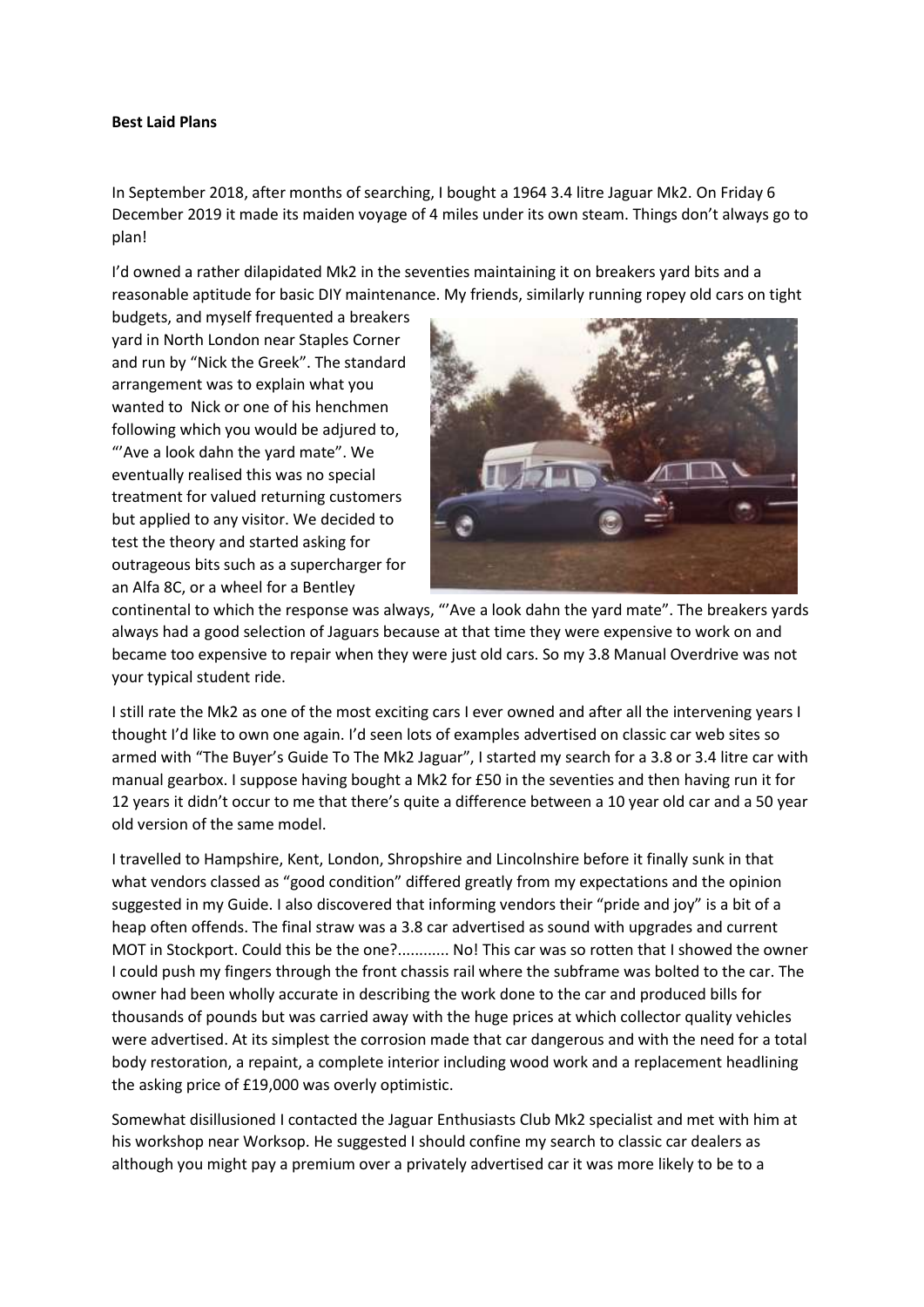## **Best Laid Plans**

In September 2018, after months of searching, I bought a 1964 3.4 litre Jaguar Mk2. On Friday 6 December 2019 it made its maiden voyage of 4 miles under its own steam. Things don't always go to plan!

I'd owned a rather dilapidated Mk2 in the seventies maintaining it on breakers yard bits and a reasonable aptitude for basic DIY maintenance. My friends, similarly running ropey old cars on tight

budgets, and myself frequented a breakers yard in North London near Staples Corner and run by "Nick the Greek". The standard arrangement was to explain what you wanted to Nick or one of his henchmen following which you would be adjured to, "'Ave a look dahn the yard mate". We eventually realised this was no special treatment for valued returning customers but applied to any visitor. We decided to test the theory and started asking for outrageous bits such as a supercharger for an Alfa 8C, or a wheel for a Bentley



continental to which the response was always, "'Ave a look dahn the yard mate". The breakers yards always had a good selection of Jaguars because at that time they were expensive to work on and became too expensive to repair when they were just old cars. So my 3.8 Manual Overdrive was not your typical student ride.

I still rate the Mk2 as one of the most exciting cars I ever owned and after all the intervening years I thought I'd like to own one again. I'd seen lots of examples advertised on classic car web sites so armed with "The Buyer's Guide To The Mk2 Jaguar", I started my search for a 3.8 or 3.4 litre car with manual gearbox. I suppose having bought a Mk2 for £50 in the seventies and then having run it for 12 years it didn't occur to me that there's quite a difference between a 10 year old car and a 50 year old version of the same model.

I travelled to Hampshire, Kent, London, Shropshire and Lincolnshire before it finally sunk in that what vendors classed as "good condition" differed greatly from my expectations and the opinion suggested in my Guide. I also discovered that informing vendors their "pride and joy" is a bit of a heap often offends. The final straw was a 3.8 car advertised as sound with upgrades and current MOT in Stockport. Could this be the one?............ No! This car was so rotten that I showed the owner I could push my fingers through the front chassis rail where the subframe was bolted to the car. The owner had been wholly accurate in describing the work done to the car and produced bills for thousands of pounds but was carried away with the huge prices at which collector quality vehicles were advertised. At its simplest the corrosion made that car dangerous and with the need for a total body restoration, a repaint, a complete interior including wood work and a replacement headlining the asking price of £19,000 was overly optimistic.

Somewhat disillusioned I contacted the Jaguar Enthusiasts Club Mk2 specialist and met with him at his workshop near Worksop. He suggested I should confine my search to classic car dealers as although you might pay a premium over a privately advertised car it was more likely to be to a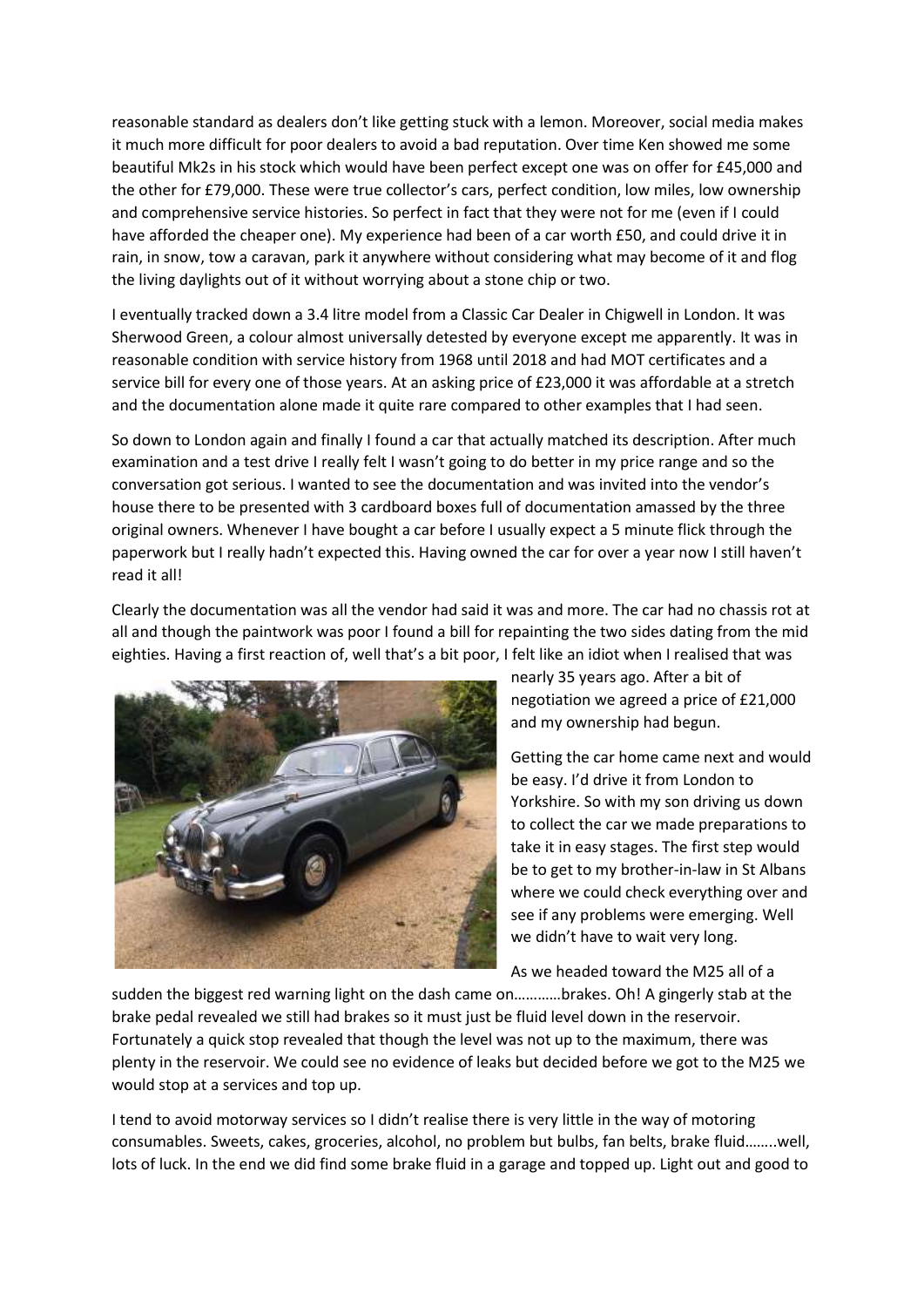reasonable standard as dealers don't like getting stuck with a lemon. Moreover, social media makes it much more difficult for poor dealers to avoid a bad reputation. Over time Ken showed me some beautiful Mk2s in his stock which would have been perfect except one was on offer for £45,000 and the other for £79,000. These were true collector's cars, perfect condition, low miles, low ownership and comprehensive service histories. So perfect in fact that they were not for me (even if I could have afforded the cheaper one). My experience had been of a car worth £50, and could drive it in rain, in snow, tow a caravan, park it anywhere without considering what may become of it and flog the living daylights out of it without worrying about a stone chip or two.

I eventually tracked down a 3.4 litre model from a Classic Car Dealer in Chigwell in London. It was Sherwood Green, a colour almost universally detested by everyone except me apparently. It was in reasonable condition with service history from 1968 until 2018 and had MOT certificates and a service bill for every one of those years. At an asking price of £23,000 it was affordable at a stretch and the documentation alone made it quite rare compared to other examples that I had seen.

So down to London again and finally I found a car that actually matched its description. After much examination and a test drive I really felt I wasn't going to do better in my price range and so the conversation got serious. I wanted to see the documentation and was invited into the vendor's house there to be presented with 3 cardboard boxes full of documentation amassed by the three original owners. Whenever I have bought a car before I usually expect a 5 minute flick through the paperwork but I really hadn't expected this. Having owned the car for over a year now I still haven't read it all!

Clearly the documentation was all the vendor had said it was and more. The car had no chassis rot at all and though the paintwork was poor I found a bill for repainting the two sides dating from the mid eighties. Having a first reaction of, well that's a bit poor, I felt like an idiot when I realised that was



nearly 35 years ago. After a bit of negotiation we agreed a price of £21,000 and my ownership had begun.

Getting the car home came next and would be easy. I'd drive it from London to Yorkshire. So with my son driving us down to collect the car we made preparations to take it in easy stages. The first step would be to get to my brother-in-law in St Albans where we could check everything over and see if any problems were emerging. Well we didn't have to wait very long.

As we headed toward the M25 all of a

sudden the biggest red warning light on the dash came on…………brakes. Oh! A gingerly stab at the brake pedal revealed we still had brakes so it must just be fluid level down in the reservoir. Fortunately a quick stop revealed that though the level was not up to the maximum, there was plenty in the reservoir. We could see no evidence of leaks but decided before we got to the M25 we would stop at a services and top up.

I tend to avoid motorway services so I didn't realise there is very little in the way of motoring consumables. Sweets, cakes, groceries, alcohol, no problem but bulbs, fan belts, brake fluid……..well, lots of luck. In the end we did find some brake fluid in a garage and topped up. Light out and good to